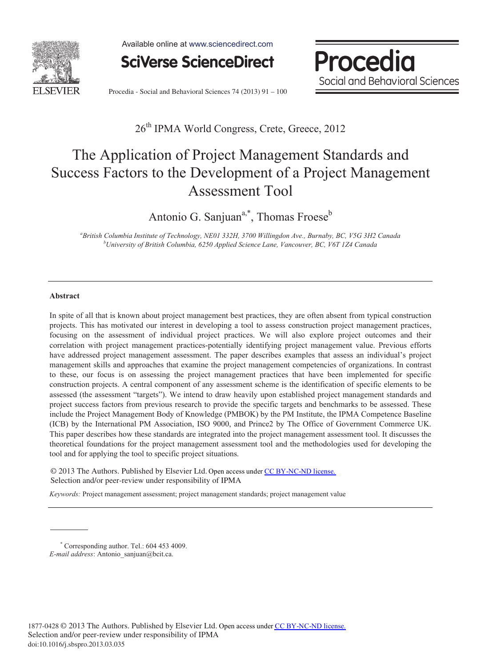

Available online at www.sciencedirect.com



**Procedia** Social and Behavioral Sciences

Procedia - Social and Behavioral Sciences 74 (2013) 91 - 100

### 26th IPMA World Congress, Crete, Greece, 2012

# The Application of Project Management Standards and Success Factors to the Development of a Project Management Assessment Tool

Antonio G. Sanjuan<sup>a,\*</sup>, Thomas Froese<sup>b</sup>

<sup>a</sup> British Columbia Institute of Technology, NE01 332H, 3700 Willingdon Ave., Burnaby, BC, V5G 3H2 Canada *b*<sub>University</sub> of British Columbia, 6350 Applied Science Lane Vancouver, BC, V6T 174 Canada *University of British Columbia, 6250 Applied Science Lane, Vancouver, BC, V6T 1Z4 Canada* 

#### **Abstract**

In spite of all that is known about project management best practices, they are often absent from typical construction projects. This has motivated our interest in developing a tool to assess construction project management practices, focusing on the assessment of individual project practices. We will also explore project outcomes and their correlation with project management practices-potentially identifying project management value. Previous efforts have addressed project management assessment. The paper describes examples that assess an individual's project management skills and approaches that examine the project management competencies of organizations. In contrast to these, our focus is on assessing the project management practices that have been implemented for specific construction projects. A central component of any assessment scheme is the identification of specific elements to be assessed (the assessment "targets"). We intend to draw heavily upon established project management standards and project success factors from previous research to provide the specific targets and benchmarks to be assessed. These include the Project Management Body of Knowledge (PMBOK) by the PM Institute, the IPMA Competence Baseline (ICB) by the International PM Association, ISO 9000, and Prince2 by The Office of Government Commerce UK. This paper describes how these standards are integrated into the project management assessment tool. It discusses the theoretical foundations for the project management assessment tool and the methodologies used for developing the tool and for applying the tool to specific project situations.

© 2013 The Authors. Published by Elsevier Ltd. Open access under [CC BY-NC-ND license.](http://creativecommons.org/licenses/by-nc-nd/3.0/) Selection and/or peer-review under responsibility of IPMA

*Keywords:* Project management assessment; project management standards; project management value

<sup>\*</sup> Corresponding author. Tel.: 604 453 4009. *E-mail address*: Antonio\_sanjuan@bcit.ca.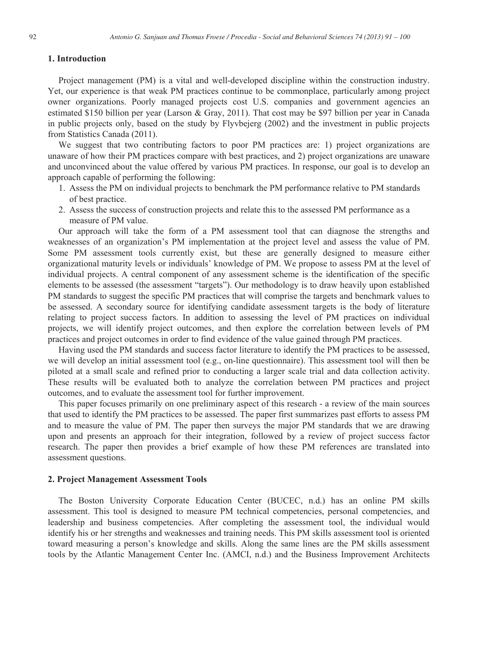#### **1. Introduction**

Project management (PM) is a vital and well-developed discipline within the construction industry. Yet, our experience is that weak PM practices continue to be commonplace, particularly among project owner organizations. Poorly managed projects cost U.S. companies and government agencies an estimated \$150 billion per year (Larson & Gray, 2011). That cost may be \$97 billion per year in Canada in public projects only, based on the study by Flyvbejerg (2002) and the investment in public projects from Statistics Canada (2011).

We suggest that two contributing factors to poor PM practices are: 1) project organizations are unaware of how their PM practices compare with best practices, and 2) project organizations are unaware and unconvinced about the value offered by various PM practices. In response, our goal is to develop an approach capable of performing the following:

- 1. Assess the PM on individual projects to benchmark the PM performance relative to PM standards of best practice.
- 2. Assess the success of construction projects and relate this to the assessed PM performance as a measure of PM value.

Our approach will take the form of a PM assessment tool that can diagnose the strengths and weaknesses of an organization's PM implementation at the project level and assess the value of PM. Some PM assessment tools currently exist, but these are generally designed to measure either organizational maturity levels or individuals' knowledge of PM. We propose to assess PM at the level of individual projects. A central component of any assessment scheme is the identification of the specific elements to be assessed (the assessment "targets"). Our methodology is to draw heavily upon established PM standards to suggest the specific PM practices that will comprise the targets and benchmark values to be assessed. A secondary source for identifying candidate assessment targets is the body of literature relating to project success factors. In addition to assessing the level of PM practices on individual projects, we will identify project outcomes, and then explore the correlation between levels of PM practices and project outcomes in order to find evidence of the value gained through PM practices.

Having used the PM standards and success factor literature to identify the PM practices to be assessed, we will develop an initial assessment tool (e.g., on-line questionnaire). This assessment tool will then be piloted at a small scale and refined prior to conducting a larger scale trial and data collection activity. These results will be evaluated both to analyze the correlation between PM practices and project outcomes, and to evaluate the assessment tool for further improvement.

This paper focuses primarily on one preliminary aspect of this research - a review of the main sources that used to identify the PM practices to be assessed. The paper first summarizes past efforts to assess PM and to measure the value of PM. The paper then surveys the major PM standards that we are drawing upon and presents an approach for their integration, followed by a review of project success factor research. The paper then provides a brief example of how these PM references are translated into assessment questions.

#### **2. Project Management Assessment Tools**

The Boston University Corporate Education Center (BUCEC, n.d.) has an online PM skills assessment. This tool is designed to measure PM technical competencies, personal competencies, and leadership and business competencies. After completing the assessment tool, the individual would identify his or her strengths and weaknesses and training needs. This PM skills assessment tool is oriented toward measuring a person's knowledge and skills. Along the same lines are the PM skills assessment tools by the Atlantic Management Center Inc. (AMCI, n.d.) and the Business Improvement Architects